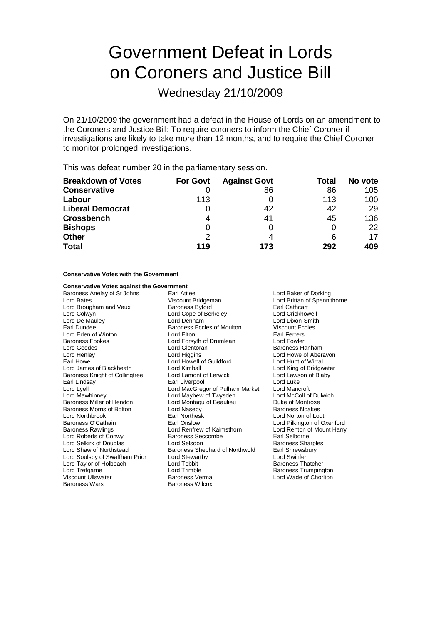# Government Defeat in Lords on Coroners and Justice Bill

Wednesday 21/10/2009

On 21/10/2009 the government had a defeat in the House of Lords on an amendment to the Coroners and Justice Bill: To require coroners to inform the Chief Coroner if investigations are likely to take more than 12 months, and to require the Chief Coroner to monitor prolonged investigations.

This was defeat number 20 in the parliamentary session.

| <b>Breakdown of Votes</b> | <b>For Govt</b> | <b>Against Govt</b> | Total | No vote |
|---------------------------|-----------------|---------------------|-------|---------|
| <b>Conservative</b>       |                 | 86                  | 86    | 105     |
| Labour                    | 113             |                     | 113   | 100     |
| <b>Liberal Democrat</b>   |                 | 42                  | 42    | 29      |
| <b>Crossbench</b>         | 4               | 41                  | 45    | 136     |
| <b>Bishops</b>            | O               | 0                   |       | 22      |
| <b>Other</b>              | 2               | 4                   | 6     | 17      |
| <b>Total</b>              | 119             | 173                 | 292   | 409     |

### **Conservative Votes with the Government**

## **Conservative Votes against the Government**<br>Baroness Anelay of St Johns Earl Attlee

Baroness Fookes **Lord Forsyth of Drumlean** Lord James of Blackheath Baroness Morris of Bolton Lord Naseby<br>
Lord Northbrook Baronesk Rarl Northesk Lord Selkirk of Douglas **Lord Selsdon** Lord Soulsby of Swaffham Prior Lord Stewartby

Baroness Anelay of St Johns Earl Attlee Carl Attlee Lord Baker of Dorking<br>
Lord Bates Corresponding Lord Brittan of Spennit Lord Bates **Lord Brittan of Spennithorne**<br>
Lord Brougham and Vaux **Baroness Byford** Earl Cathcart<br>
Lord Brougham and Vaux Baroness Byford **Earl Cathcart** Lord Brougham and Vaux Baroness Byford Earl Cathcart Lord Cope of Berkeley Lord De Mauley Lord Denham Lord Dixon-Smith Earl Dundee **Baroness Eccles of Moulton** Viscount Eccles<br>
Lord Eden of Winton **Baroness Eccles of Moulton** Earl Ferrers Lord Eden of Winton **Lord Elton** Lord Elton **Earl Ferrers**<br>
Baroness Fookes **Consult Example Example Example Accept** Lord Fowler Lord Geddes Lord Glentoran Baroness Hanham Lord Henley **Lord Higgins** Lord Higgins **Lord Lord Howe of Aberavon**<br>
Lord Howe **Lord Howell of Guildford** Lord Hunt of Wirral Lord Howell of Guildford Lord Hunt of Wirral<br>
Lord Kimball Cord King of Bridgwater Baroness Knight of Collingtree Lord Lamont of Lerwick Lord Lawson of Blaby<br>
Earl Lindsav Lord Luke Lord Luke Earl Lindsay **Earl Lindsay** Earl Liverpool Lord Luke<br>
Lord Lord MacGregor of Pulham Market Lord Mancroft Lord Lyell Lord MacGregor of Pulham Market Lord Mancroft<br>
Lord Mawhinney Cord Mayhew of Twysden Lord McColl of Dulwich Lord Mayhew of Twysden Baroness Miller of Hendon Lord Montagu of Beaulieu Duke of Montrose<br>
Baroness Morris of Bolton Lord Naseby Corporation Baroness Noakes Baroness O'Cathain **Earl Onslow** Earl Onslow Lord Pilkington of Oxenford Baroness Rawlings Correst Lord Renfrew of Kaimsthorn **Lord Rential Lord Rential Correst** Lord Rentew of Kaimsthorn Lord Renfrew of Kaimsthorn Lord Renton c<br>Baroness Seccombe **Earl Selborne** Lord Roberts of Conwy **Baroness Seccombe** Earl Selborne<br>
Lord Selkirk of Douglas **Baroness Sharoles**<br>
Lord Selsdon **Baroness Sharoles** Lord Shaw of Northstead **Baroness Shephard of Northwold** Earl Shrewsbury<br>
Lord Soulsby of Swaffham Prior Lord Stewartby **Earl Show Cord Summen** Lord Taylor of Holbeach Lord Tebbit **Example 20** Baroness Thatcher Lord Trefgarne **Community** Lord Trimble **Community Community** Baroness Trumpington Viscount Ullswater Baroness Verma Lord Wade of Chorton<br>Baroness Warsi Baroness Wilcox Baroness Wilcox

Lord Norton of Louth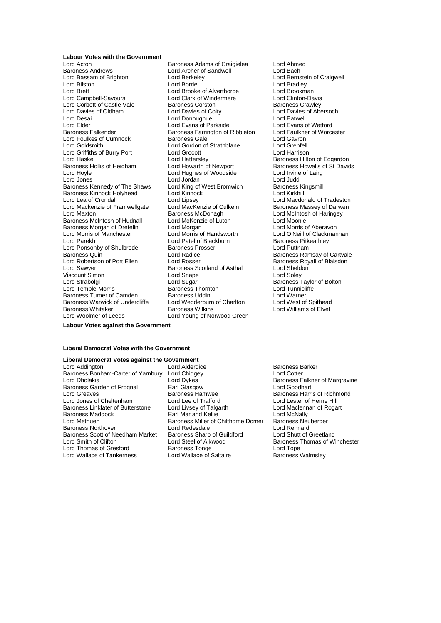#### **Labour Votes with the Government**

Baroness Andrews **Lord Archer of Sandwell**<br>
Lord Bassam of Brighton **Lord Berkeley** Lord Bilston Lord Borrie Lord Borrie Lord Borrie Lord Bradley<br>
Lord Brett Lord Brooke of Alverthorpe Lord Brookman Lord Brett Lord Brooke of Alverthorpe Lord Brookman<br>
Lord Campbell-Savours Lord Clark of Windermere Lord Clinton-Davis Lord Corbett of Castle Vale Baroness Corston Lord Davies of Oldham Lord Davies of Coity Lord Davies of Abersoch Lord Desai **Lord Donoughue**<br>
Lord Elder **Lord Exans of Parkside** Lord Evans of Watford<br>
Lord Elder **Lord Evans of Parkside** Lord Evans of Watford Lord Elder Lord Evans of Parkside Lord Evans of Watford<br>
Baroness Ealkender Baroness Earrington of Ribbleton Lord Faulkner of Worcester Lord Foulkes of Cumnock **Baroness Gale Baroness Gale** Lord Gavron<br>
Lord Goldsmith **Baroness Gale Containe** Lord Gavroness Carentell Lord Griffiths of Burry Port Lord Hattersley Baroness Hilton of Eggardon<br>
Baroness Hollis of Heigham Lord Howarth of Newport Baroness Howells of St David Baroness Hollis of Heigham Lord Howarth of Newport Baroness Howells of St Davids<br>
Lord Howle Lord Hughes of Woodside Lord Irvine of Lairg Lord Jordes Lord Jordan Lord Jordan Lord Judd<br>
Baroness Kennedy of The Shaws Lord King of West Bromwich Baroness Baroness Kennedy of The Shaws Lord King of West Bromwich Baroness Kingsmill<br>Baroness Kinnock Holyhead Lord Kinnock Lord Kinnock Lord Kirkhill Baroness Kinnock Holyhead Lord Kinnoc<br>Lord Lea of Crondall Lord Lipsey Lord Mackenzie of Framwellgate Lord MacKenzie of Culture<br>Lord Maxton Baroness McDonagh Baroness McIntosh of Hudnall<br>Baroness Morgan of Drefelin Lord Morris of Manchester Lord Morris of Handsworth Lord O'Neill of Clackmannan<br>
Lord Parekh Lord Patel of Blackburn Baroness Pitkeathley Lord Ponsonby of Shulbrede Baroness Quin **Community Lord Radice Community** Baroness Ramsay of Cartvale Lord Robertson of Port Ellen Lord Rosser Cord Rosser Baroness Royall of Blaisdon<br>
Lord Sawyer Baroness Scotland of Asthal Lord Sheldon Viscount Simon Lord Strabolgi Lord Superintendo and the contract of the count Simon<br>
Lord Strabolgi Lord Sugar Baroness Taylor of Bolton<br>
Lord Temple-Morris Baroness Thornton Lord Tunnicliffe Lord Temple-Morris **Communicies**<br>Baroness Turner of Camden **Baroness Uddin** Baroness Uddin Baroness Turner of Camden Baroness Uddin Marien Cord Warner Lord Warner<br>Baroness Warwick of Undercliffe Lord Wedderburn of Charlton Lord West of Spithead Baroness Warwick of Undercliffe

Lord Acton **Calcular Baroness Adams of Craigielea** Lord Ahmed<br>
Baroness Andrews **Calcular Cord Angle Cord Archer of Sandwell** Lord Bach Lord Clark of Windermere Lord Clinton-Davis<br>
Baroness Corston Baroness Crawley Baroness Farrington of Ribbleton Lord Gordon of Strathblane Lord Grenfell<br>Lord Grocott Lord Harrison Lord Hughes of Woodside Lord Lipsey<br>
Lord Macdonald of Tradeston<br>
Baroness Massey of Darwen Baroness McDonagh **Lord McIntosh of Haringey**<br>
Lord McKenzie of Luton<br>
Lord Moonie Lord Morgan **Caroness Morgan Lord Morris of Aberavon** Lord Patel of Blackburn **Baroness Pitker Baroness Pitker**<br>Baroness Prosser **Baroness** Lord Puttnam Baroness Scotland of Asthal<br>Lord Snape Baroness Whitaker **Baroness Wilkins** Baroness Wilkins Lord Williams of Elvel<br>
Lord Woolmer of Leeds Lord Young of Norwood Green Lord Young of Norwood Green

Lord Bernstein of Craigweil

**Labour Votes against the Government**

#### **Liberal Democrat Votes with the Government**

## **Liberal Democrat Votes against the Government**

Lord Addington Lord Alderdice Baroness Barker Baroness Bonham-Carter of Yarnbury Lord Chidge<br>Lord Dholakia Lord Cykes Baroness Garden of Frognal Lord Greaves **Exercise Standard Baroness Hamwee** Baroness Harris of Richmond<br>Lord Jones of Cheltenham Lord Lee of Trafford **Baroness Harris of Herne Hill** Lord Jones of Cheltenham Lord Lee of Trafford Lord Lester of Herne Hill<br>
Baroness Linklater of Butterstone Lord Livsey of Talgarth Lord Maclennan of Rogart Baroness Linklater of Butterstone Lord Livsey of Talgarth Cord Maclenn<br>Baroness Maddock Carl Mar and Kellie Cord McNally Baroness Maddock **Earl Mar and Kellie**<br>
Lord Methuen **Early Markow**<br>
Baroness Miller of C Baroness Northover Lord Redesdale Lord Rennard<br>Baroness Scott of Needham Market Baroness Sharp of Guildford Lord Shutt of Greetland Lord Smith of Clifton **Lord Steel of Aikwood** Baroness Thomas of Winchester<br>
Lord Thomas of Gresford Baroness Tonge **Lord Tope** Lord Tope Lord Thomas of Gresford **Baroness Tonge** Lord Tope Lord Tope<br>
Lord Wallace of Tankerness Lord Wallace of Saltaire **Baroness Walmslev** Lord Wallace of Tankerness

Lord Dykes **Baroness Falkner of Margravine**<br>
Earl Glasgow **Baroness Earl Lord Goodhart Baroness Miller of Chilthorne Domer** Baroness Neuberger<br> **Lord Redesdale Baronard** Baroness Sharp of Guildford